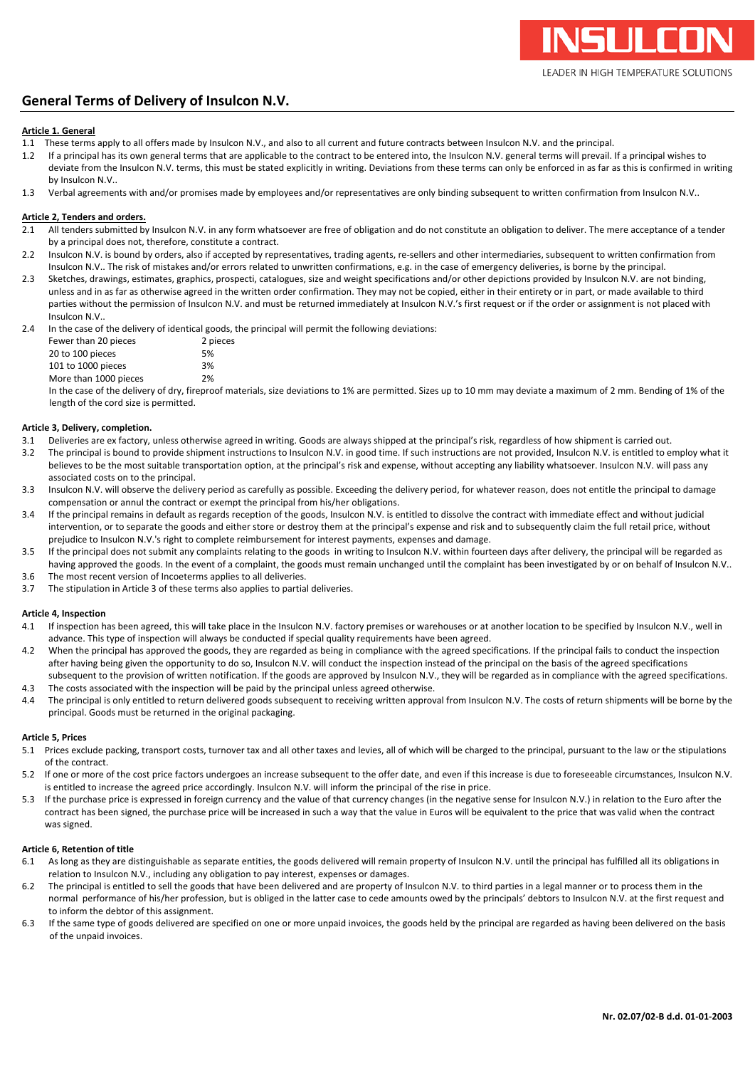# **General Terms of Delivery of Insulcon N.V.**

# **Article 1. General**

- 1.1 These terms apply to all offers made by Insulcon N.V., and also to all current and future contracts between Insulcon N.V. and the principal.
- 1.2 If a principal has its own general terms that are applicable to the contract to be entered into, the Insulcon N.V. general terms will prevail. If a principal wishes to deviate from the Insulcon N.V. terms, this must be stated explicitly in writing. Deviations from these terms can only be enforced in as far as this is confirmed in writing by Insulcon N.V..
- 1.3 Verbal agreements with and/or promises made by employees and/or representatives are only binding subsequent to written confirmation from Insulcon N.V..

# **Article 2, Tenders and orders.**

- 2.1 All tenders submitted by Insulcon N.V. in any form whatsoever are free of obligation and do not constitute an obligation to deliver. The mere acceptance of a tender by a principal does not, therefore, constitute a contract.
- 2.2 Insulcon N.V. is bound by orders, also if accepted by representatives, trading agents, re-sellers and other intermediaries, subsequent to written confirmation from Insulcon N.V.. The risk of mistakes and/or errors related to unwritten confirmations, e.g. in the case of emergency deliveries, is borne by the principal.
- 2.3 Sketches, drawings, estimates, graphics, prospecti, catalogues, size and weight specifications and/or other depictions provided by Insulcon N.V. are not binding, unless and in as far as otherwise agreed in the written order confirmation. They may not be copied, either in their entirety or in part, or made available to third parties without the permission of Insulcon N.V. and must be returned immediately at Insulcon N.V.'s first request or if the order or assignment is not placed with Insulcon N.V..

2.4 In the case of the delivery of identical goods, the principal will permit the following deviations:

| . |                       |          |
|---|-----------------------|----------|
|   | Fewer than 20 pieces  | 2 pieces |
|   | 20 to 100 pieces      | 5%       |
|   | 101 to 1000 pieces    | 3%       |
|   | More than 1000 pieces | 2%       |

In the case of the delivery of dry, fireproof materials, size deviations to 1% are permitted. Sizes up to 10 mm may deviate a maximum of 2 mm. Bending of 1% of the length of the cord size is permitted.

# **Article 3, Delivery, completion.**

- 3.1 Deliveries are ex factory, unless otherwise agreed in writing. Goods are always shipped at the principal's risk, regardless of how shipment is carried out.
- 3.2 The principal is bound to provide shipment instructions to Insulcon N.V. in good time. If such instructions are not provided, Insulcon N.V. is entitled to employ what it believes to be the most suitable transportation option, at the principal's risk and expense, without accepting any liability whatsoever. Insulcon N.V. will pass any associated costs on to the principal.
- 3.3 Insulcon N.V. will observe the delivery period as carefully as possible. Exceeding the delivery period, for whatever reason, does not entitle the principal to damage compensation or annul the contract or exempt the principal from his/her obligations.
- 3.4 If the principal remains in default as regards reception of the goods, Insulcon N.V. is entitled to dissolve the contract with immediate effect and without judicial intervention, or to separate the goods and either store or destroy them at the principal's expense and risk and to subsequently claim the full retail price, without prejudice to Insulcon N.V.'s right to complete reimbursement for interest payments, expenses and damage.
- 3.5 If the principal does not submit any complaints relating to the goods in writing to Insulcon N.V. within fourteen days after delivery, the principal will be regarded as having approved the goods. In the event of a complaint, the goods must remain unchanged until the complaint has been investigated by or on behalf of Insulcon N.V.. 3.6 The most recent version of Incoeterms applies to all deliveries.
- 3.7 The stipulation in Article 3 of these terms also applies to partial deliveries.

# **Article 4, Inspection**

- 4.1 If inspection has been agreed, this will take place in the Insulcon N.V. factory premises or warehouses or at another location to be specified by Insulcon N.V., well in advance. This type of inspection will always be conducted if special quality requirements have been agreed.
- 4.2 When the principal has approved the goods, they are regarded as being in compliance with the agreed specifications. If the principal fails to conduct the inspection after having being given the opportunity to do so, Insulcon N.V. will conduct the inspection instead of the principal on the basis of the agreed specifications subsequent to the provision of written notification. If the goods are approved by Insulcon N.V., they will be regarded as in compliance with the agreed specifications. 4.3 The costs associated with the inspection will be paid by the principal unless agreed otherwise.
- 4.4 The principal is only entitled to return delivered goods subsequent to receiving written approval from Insulcon N.V. The costs of return shipments will be borne by the principal. Goods must be returned in the original packaging.

# **Article 5, Prices**

- 5.1 Prices exclude packing, transport costs, turnover tax and all other taxes and levies, all of which will be charged to the principal, pursuant to the law or the stipulations of the contract.
- 5.2 If one or more of the cost price factors undergoes an increase subsequent to the offer date, and even if this increase is due to foreseeable circumstances, Insulcon N.V. is entitled to increase the agreed price accordingly. Insulcon N.V. will inform the principal of the rise in price.
- 5.3 If the purchase price is expressed in foreign currency and the value of that currency changes (in the negative sense for Insulcon N.V.) in relation to the Euro after the contract has been signed, the purchase price will be increased in such a way that the value in Euros will be equivalent to the price that was valid when the contract was signed.

# **Article 6, Retention of title**

- 6.1 As long as they are distinguishable as separate entities, the goods delivered will remain property of Insulcon N.V. until the principal has fulfilled all its obligations in relation to Insulcon N.V., including any obligation to pay interest, expenses or damages.
- 6.2 The principal is entitled to sell the goods that have been delivered and are property of Insulcon N.V. to third parties in a legal manner or to process them in the normal performance of his/her profession, but is obliged in the latter case to cede amounts owed by the principals' debtors to Insulcon N.V. at the first request and to inform the debtor of this assignment.
- 6.3 If the same type of goods delivered are specified on one or more unpaid invoices, the goods held by the principal are regarded as having been delivered on the basis of the unpaid invoices.

Ш

LEADER IN HIGH TEMPERATURE SOLUTIONS